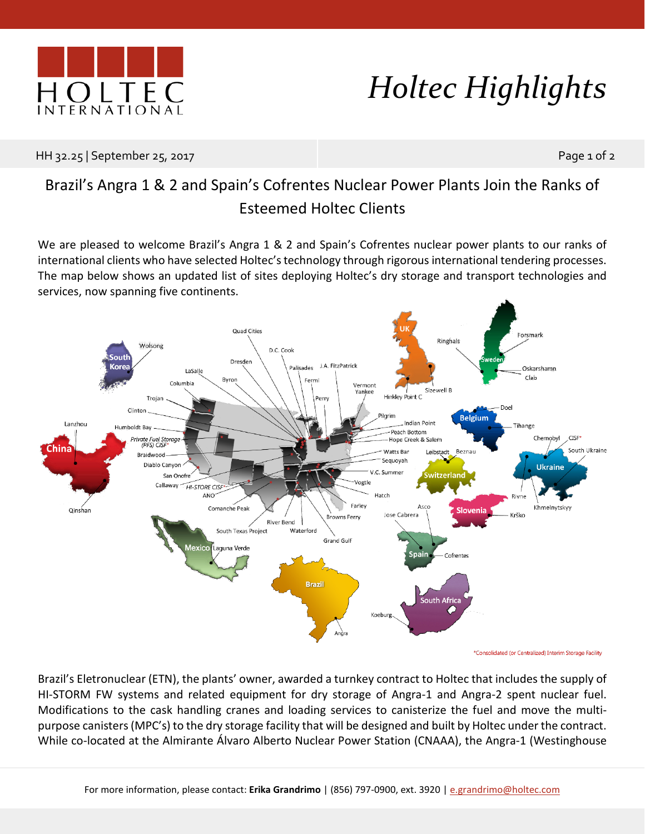

## *Holtec Highlights*

HH 32.25 | September 25, 2017 | Page 1 of 2

## Brazil's Angra 1 & 2 and Spain's Cofrentes Nuclear Power Plants Join the Ranks of Esteemed Holtec Clients

We are pleased to welcome Brazil's Angra 1 & 2 and Spain's Cofrentes nuclear power plants to our ranks of international clients who have selected Holtec's technology through rigorous international tendering processes. The map below shows an updated list of sites deploying Holtec's dry storage and transport technologies and services, now spanning five continents.



\*Consolidated (or Centralized) Interim Storage Facility

Brazil's Eletronuclear (ETN), the plants' owner, awarded a turnkey contract to Holtec that includes the supply of HI-STORM FW systems and related equipment for dry storage of Angra-1 and Angra-2 spent nuclear fuel. Modifications to the cask handling cranes and loading services to canisterize the fuel and move the multipurpose canisters (MPC's) to the dry storage facility that will be designed and built by Holtec under the contract. While co-located at the Almirante Álvaro Alberto Nuclear Power Station (CNAAA), the Angra-1 (Westinghouse